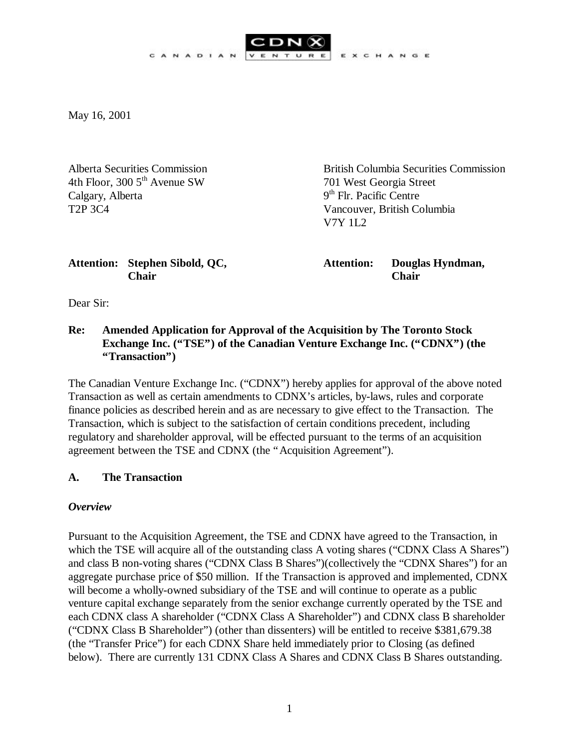EXCHANGE

May 16, 2001

4th Floor, 300 5<sup>th</sup> Avenue SW 701 West Georgia Street Calgary, Alberta T2P 3C4 Vancouver, British Columbia

Alberta Securities Commission British Columbia Securities Commission  $9<sup>th</sup>$  Flr. Pacific Centre V7Y 1L2

## **Attention: Stephen Sibold, QC, Attention: Douglas Hyndman, Chair Chair**

Dear Sir:

# **Re: Amended Application for Approval of the Acquisition by The Toronto Stock Exchange Inc. ("TSE") of the Canadian Venture Exchange Inc. ("CDNX") (the "Transaction")**

The Canadian Venture Exchange Inc. ("CDNX") hereby applies for approval of the above noted Transaction as well as certain amendments to CDNX's articles, by-laws, rules and corporate finance policies as described herein and as are necessary to give effect to the Transaction. The Transaction, which is subject to the satisfaction of certain conditions precedent, including regulatory and shareholder approval, will be effected pursuant to the terms of an acquisition agreement between the TSE and CDNX (the "Acquisition Agreement").

## **A. The Transaction**

## *Overview*

Pursuant to the Acquisition Agreement, the TSE and CDNX have agreed to the Transaction, in which the TSE will acquire all of the outstanding class A voting shares ("CDNX Class A Shares") and class B non-voting shares ("CDNX Class B Shares")(collectively the "CDNX Shares") for an aggregate purchase price of \$50 million. If the Transaction is approved and implemented, CDNX will become a wholly-owned subsidiary of the TSE and will continue to operate as a public venture capital exchange separately from the senior exchange currently operated by the TSE and each CDNX class A shareholder ("CDNX Class A Shareholder") and CDNX class B shareholder ("CDNX Class B Shareholder") (other than dissenters) will be entitled to receive \$381,679.38 (the "Transfer Price") for each CDNX Share held immediately prior to Closing (as defined below). There are currently 131 CDNX Class A Shares and CDNX Class B Shares outstanding.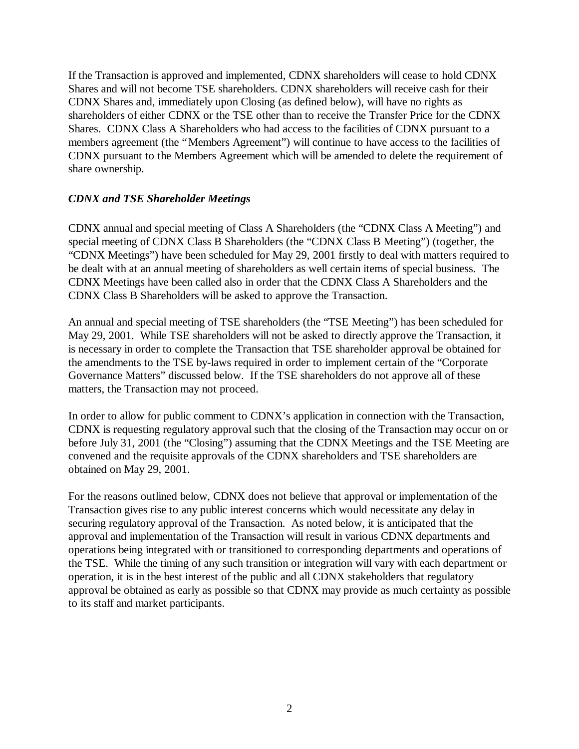If the Transaction is approved and implemented, CDNX shareholders will cease to hold CDNX Shares and will not become TSE shareholders. CDNX shareholders will receive cash for their CDNX Shares and, immediately upon Closing (as defined below), will have no rights as shareholders of either CDNX or the TSE other than to receive the Transfer Price for the CDNX Shares. CDNX Class A Shareholders who had access to the facilities of CDNX pursuant to a members agreement (the "Members Agreement") will continue to have access to the facilities of CDNX pursuant to the Members Agreement which will be amended to delete the requirement of share ownership.

### *CDNX and TSE Shareholder Meetings*

CDNX annual and special meeting of Class A Shareholders (the "CDNX Class A Meeting") and special meeting of CDNX Class B Shareholders (the "CDNX Class B Meeting") (together, the "CDNX Meetings") have been scheduled for May 29, 2001 firstly to deal with matters required to be dealt with at an annual meeting of shareholders as well certain items of special business. The CDNX Meetings have been called also in order that the CDNX Class A Shareholders and the CDNX Class B Shareholders will be asked to approve the Transaction.

An annual and special meeting of TSE shareholders (the "TSE Meeting") has been scheduled for May 29, 2001. While TSE shareholders will not be asked to directly approve the Transaction, it is necessary in order to complete the Transaction that TSE shareholder approval be obtained for the amendments to the TSE by-laws required in order to implement certain of the "Corporate Governance Matters" discussed below. If the TSE shareholders do not approve all of these matters, the Transaction may not proceed.

In order to allow for public comment to CDNX's application in connection with the Transaction, CDNX is requesting regulatory approval such that the closing of the Transaction may occur on or before July 31, 2001 (the "Closing") assuming that the CDNX Meetings and the TSE Meeting are convened and the requisite approvals of the CDNX shareholders and TSE shareholders are obtained on May 29, 2001.

For the reasons outlined below, CDNX does not believe that approval or implementation of the Transaction gives rise to any public interest concerns which would necessitate any delay in securing regulatory approval of the Transaction. As noted below, it is anticipated that the approval and implementation of the Transaction will result in various CDNX departments and operations being integrated with or transitioned to corresponding departments and operations of the TSE. While the timing of any such transition or integration will vary with each department or operation, it is in the best interest of the public and all CDNX stakeholders that regulatory approval be obtained as early as possible so that CDNX may provide as much certainty as possible to its staff and market participants.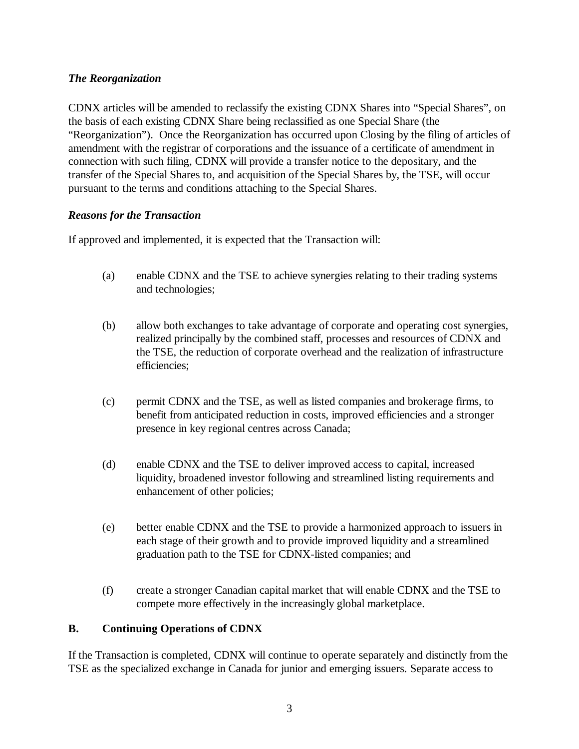## *The Reorganization*

CDNX articles will be amended to reclassify the existing CDNX Shares into "Special Shares", on the basis of each existing CDNX Share being reclassified as one Special Share (the "Reorganization"). Once the Reorganization has occurred upon Closing by the filing of articles of amendment with the registrar of corporations and the issuance of a certificate of amendment in connection with such filing, CDNX will provide a transfer notice to the depositary, and the transfer of the Special Shares to, and acquisition of the Special Shares by, the TSE, will occur pursuant to the terms and conditions attaching to the Special Shares.

## *Reasons for the Transaction*

If approved and implemented, it is expected that the Transaction will:

- (a) enable CDNX and the TSE to achieve synergies relating to their trading systems and technologies;
- (b) allow both exchanges to take advantage of corporate and operating cost synergies, realized principally by the combined staff, processes and resources of CDNX and the TSE, the reduction of corporate overhead and the realization of infrastructure efficiencies;
- (c) permit CDNX and the TSE, as well as listed companies and brokerage firms, to benefit from anticipated reduction in costs, improved efficiencies and a stronger presence in key regional centres across Canada;
- (d) enable CDNX and the TSE to deliver improved access to capital, increased liquidity, broadened investor following and streamlined listing requirements and enhancement of other policies;
- (e) better enable CDNX and the TSE to provide a harmonized approach to issuers in each stage of their growth and to provide improved liquidity and a streamlined graduation path to the TSE for CDNX-listed companies; and
- (f) create a stronger Canadian capital market that will enable CDNX and the TSE to compete more effectively in the increasingly global marketplace.

## **B. Continuing Operations of CDNX**

If the Transaction is completed, CDNX will continue to operate separately and distinctly from the TSE as the specialized exchange in Canada for junior and emerging issuers. Separate access to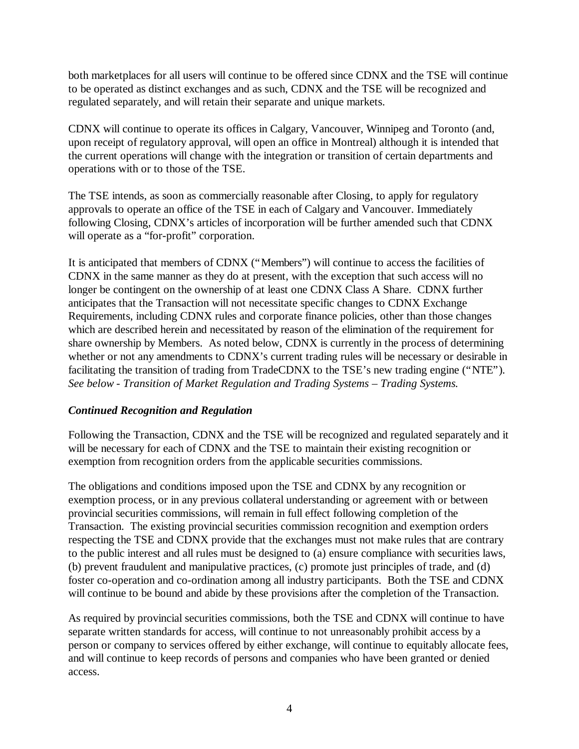both marketplaces for all users will continue to be offered since CDNX and the TSE will continue to be operated as distinct exchanges and as such, CDNX and the TSE will be recognized and regulated separately, and will retain their separate and unique markets.

CDNX will continue to operate its offices in Calgary, Vancouver, Winnipeg and Toronto (and, upon receipt of regulatory approval, will open an office in Montreal) although it is intended that the current operations will change with the integration or transition of certain departments and operations with or to those of the TSE.

The TSE intends, as soon as commercially reasonable after Closing, to apply for regulatory approvals to operate an office of the TSE in each of Calgary and Vancouver. Immediately following Closing, CDNX's articles of incorporation will be further amended such that CDNX will operate as a "for-profit" corporation.

It is anticipated that members of CDNX ("Members") will continue to access the facilities of CDNX in the same manner as they do at present, with the exception that such access will no longer be contingent on the ownership of at least one CDNX Class A Share. CDNX further anticipates that the Transaction will not necessitate specific changes to CDNX Exchange Requirements, including CDNX rules and corporate finance policies, other than those changes which are described herein and necessitated by reason of the elimination of the requirement for share ownership by Members. As noted below, CDNX is currently in the process of determining whether or not any amendments to CDNX's current trading rules will be necessary or desirable in facilitating the transition of trading from TradeCDNX to the TSE's new trading engine ("NTE"). *See below - Transition of Market Regulation and Trading Systems – Trading Systems.*

## *Continued Recognition and Regulation*

Following the Transaction, CDNX and the TSE will be recognized and regulated separately and it will be necessary for each of CDNX and the TSE to maintain their existing recognition or exemption from recognition orders from the applicable securities commissions.

The obligations and conditions imposed upon the TSE and CDNX by any recognition or exemption process, or in any previous collateral understanding or agreement with or between provincial securities commissions, will remain in full effect following completion of the Transaction. The existing provincial securities commission recognition and exemption orders respecting the TSE and CDNX provide that the exchanges must not make rules that are contrary to the public interest and all rules must be designed to (a) ensure compliance with securities laws, (b) prevent fraudulent and manipulative practices, (c) promote just principles of trade, and (d) foster co-operation and co-ordination among all industry participants. Both the TSE and CDNX will continue to be bound and abide by these provisions after the completion of the Transaction.

As required by provincial securities commissions, both the TSE and CDNX will continue to have separate written standards for access, will continue to not unreasonably prohibit access by a person or company to services offered by either exchange, will continue to equitably allocate fees, and will continue to keep records of persons and companies who have been granted or denied access.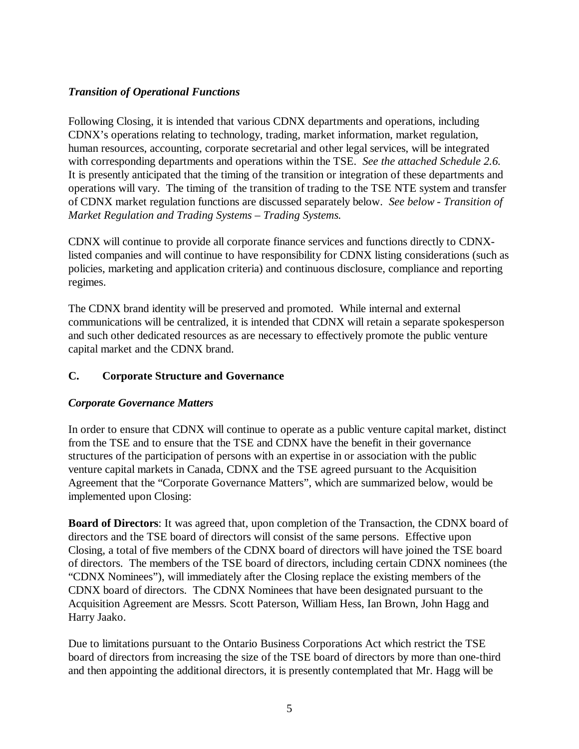# *Transition of Operational Functions*

Following Closing, it is intended that various CDNX departments and operations, including CDNX's operations relating to technology, trading, market information, market regulation, human resources, accounting, corporate secretarial and other legal services, will be integrated with corresponding departments and operations within the TSE. *See the attached Schedule 2.6.* It is presently anticipated that the timing of the transition or integration of these departments and operations will vary. The timing of the transition of trading to the TSE NTE system and transfer of CDNX market regulation functions are discussed separately below. *See below - Transition of Market Regulation and Trading Systems – Trading Systems.*

CDNX will continue to provide all corporate finance services and functions directly to CDNXlisted companies and will continue to have responsibility for CDNX listing considerations (such as policies, marketing and application criteria) and continuous disclosure, compliance and reporting regimes.

The CDNX brand identity will be preserved and promoted. While internal and external communications will be centralized, it is intended that CDNX will retain a separate spokesperson and such other dedicated resources as are necessary to effectively promote the public venture capital market and the CDNX brand.

# **C. Corporate Structure and Governance**

## *Corporate Governance Matters*

In order to ensure that CDNX will continue to operate as a public venture capital market, distinct from the TSE and to ensure that the TSE and CDNX have the benefit in their governance structures of the participation of persons with an expertise in or association with the public venture capital markets in Canada, CDNX and the TSE agreed pursuant to the Acquisition Agreement that the "Corporate Governance Matters", which are summarized below, would be implemented upon Closing:

**Board of Directors**: It was agreed that, upon completion of the Transaction, the CDNX board of directors and the TSE board of directors will consist of the same persons. Effective upon Closing, a total of five members of the CDNX board of directors will have joined the TSE board of directors. The members of the TSE board of directors, including certain CDNX nominees (the "CDNX Nominees"), will immediately after the Closing replace the existing members of the CDNX board of directors. The CDNX Nominees that have been designated pursuant to the Acquisition Agreement are Messrs. Scott Paterson, William Hess, Ian Brown, John Hagg and Harry Jaako.

Due to limitations pursuant to the Ontario Business Corporations Act which restrict the TSE board of directors from increasing the size of the TSE board of directors by more than one-third and then appointing the additional directors, it is presently contemplated that Mr. Hagg will be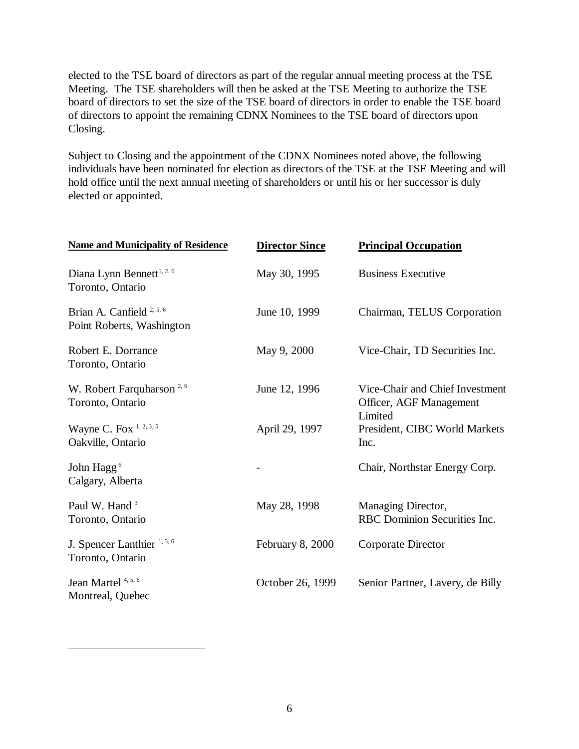elected to the TSE board of directors as part of the regular annual meeting process at the TSE Meeting. The TSE shareholders will then be asked at the TSE Meeting to authorize the TSE board of directors to set the size of the TSE board of directors in order to enable the TSE board of directors to appoint the remaining CDNX Nominees to the TSE board of directors upon Closing.

Subject to Closing and the appointment of the CDNX Nominees noted above, the following individuals have been nominated for election as directors of the TSE at the TSE Meeting and will hold office until the next annual meeting of shareholders or until his or her successor is duly elected or appointed.

| <b>Name and Municipality of Residence</b>                         | <b>Director Since</b> | <b>Principal Occupation</b>                                           |
|-------------------------------------------------------------------|-----------------------|-----------------------------------------------------------------------|
| Diana Lynn Bennett <sup>1, 2, 6</sup><br>Toronto, Ontario         | May 30, 1995          | <b>Business Executive</b>                                             |
| Brian A. Canfield <sup>2, 5, 6</sup><br>Point Roberts, Washington | June 10, 1999         | Chairman, TELUS Corporation                                           |
| Robert E. Dorrance<br>Toronto, Ontario                            | May 9, 2000           | Vice-Chair, TD Securities Inc.                                        |
| W. Robert Farquharson <sup>2,6</sup><br>Toronto, Ontario          | June 12, 1996         | Vice-Chair and Chief Investment<br>Officer, AGF Management<br>Limited |
| Wayne C. Fox $1, 2, 3, 5$<br>Oakville, Ontario                    | April 29, 1997        | President, CIBC World Markets<br>Inc.                                 |
| John Hagg <sup>6</sup><br>Calgary, Alberta                        |                       | Chair, Northstar Energy Corp.                                         |
| Paul W. Hand <sup>3</sup><br>Toronto, Ontario                     | May 28, 1998          | Managing Director,<br>RBC Dominion Securities Inc.                    |
| J. Spencer Lanthier <sup>1, 3, 6</sup><br>Toronto, Ontario        | February 8, 2000      | Corporate Director                                                    |
| Jean Martel <sup>4, 5, 6</sup><br>Montreal, Quebec                | October 26, 1999      | Senior Partner, Lavery, de Billy                                      |

1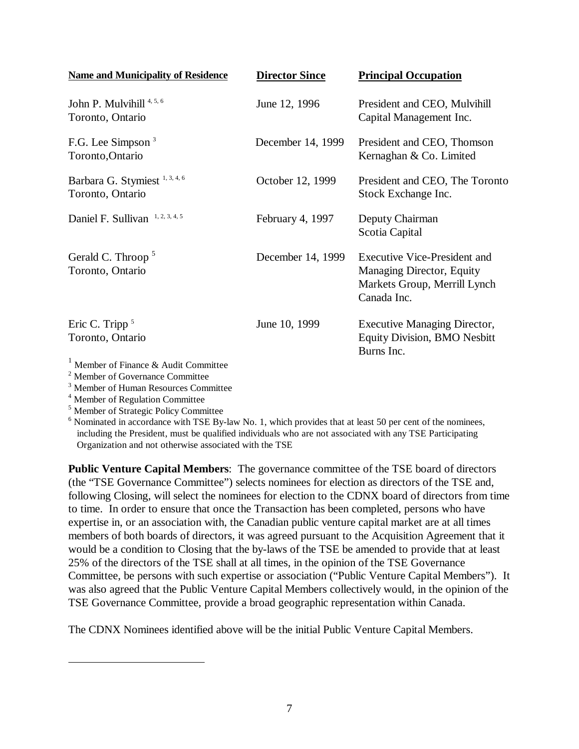| <b>Name and Municipality of Residence</b>                                    | <b>Director Since</b> | <b>Principal Occupation</b>                                                                                     |
|------------------------------------------------------------------------------|-----------------------|-----------------------------------------------------------------------------------------------------------------|
| John P. Mulvihill <sup>4, 5, 6</sup><br>Toronto, Ontario                     | June 12, 1996         | President and CEO, Mulvihill<br>Capital Management Inc.                                                         |
| F.G. Lee Simpson <sup>3</sup><br>Toronto, Ontario                            | December 14, 1999     | President and CEO, Thomson<br>Kernaghan & Co. Limited                                                           |
| Barbara G. Stymiest <sup>1, 3, 4, 6</sup><br>Toronto, Ontario                | October 12, 1999      | President and CEO, The Toronto<br>Stock Exchange Inc.                                                           |
| Daniel F. Sullivan 1, 2, 3, 4, 5                                             | February 4, 1997      | Deputy Chairman<br>Scotia Capital                                                                               |
| Gerald C. Throop <sup>5</sup><br>Toronto, Ontario                            | December 14, 1999     | <b>Executive Vice-President and</b><br>Managing Director, Equity<br>Markets Group, Merrill Lynch<br>Canada Inc. |
| Eric C. Tripp $5$<br>Toronto, Ontario<br>Member of Finance & Audit Committee | June 10, 1999         | <b>Executive Managing Director,</b><br><b>Equity Division, BMO Nesbitt</b><br>Burns Inc.                        |

<sup>2</sup> Member of Governance Committee

3 Member of Human Resources Committee

4 Member of Regulation Committee

1

5 Member of Strategic Policy Committee

<sup>6</sup> Nominated in accordance with TSE By-law No. 1, which provides that at least 50 per cent of the nominees, including the President, must be qualified individuals who are not associated with any TSE Participating Organization and not otherwise associated with the TSE

**Public Venture Capital Members**: The governance committee of the TSE board of directors (the "TSE Governance Committee") selects nominees for election as directors of the TSE and, following Closing, will select the nominees for election to the CDNX board of directors from time to time. In order to ensure that once the Transaction has been completed, persons who have expertise in, or an association with, the Canadian public venture capital market are at all times members of both boards of directors, it was agreed pursuant to the Acquisition Agreement that it would be a condition to Closing that the by-laws of the TSE be amended to provide that at least 25% of the directors of the TSE shall at all times, in the opinion of the TSE Governance Committee, be persons with such expertise or association ("Public Venture Capital Members"). It was also agreed that the Public Venture Capital Members collectively would, in the opinion of the TSE Governance Committee, provide a broad geographic representation within Canada.

The CDNX Nominees identified above will be the initial Public Venture Capital Members.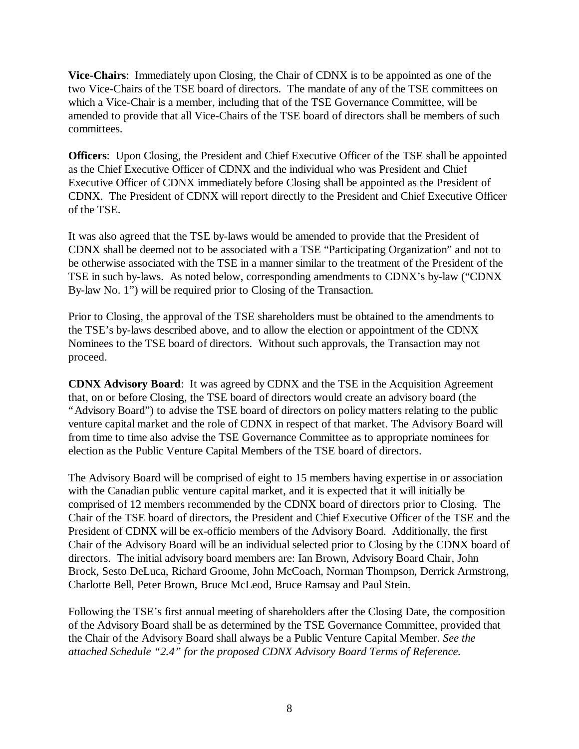**Vice-Chairs**: Immediately upon Closing, the Chair of CDNX is to be appointed as one of the two Vice-Chairs of the TSE board of directors. The mandate of any of the TSE committees on which a Vice-Chair is a member, including that of the TSE Governance Committee, will be amended to provide that all Vice-Chairs of the TSE board of directors shall be members of such committees.

**Officers**: Upon Closing, the President and Chief Executive Officer of the TSE shall be appointed as the Chief Executive Officer of CDNX and the individual who was President and Chief Executive Officer of CDNX immediately before Closing shall be appointed as the President of CDNX. The President of CDNX will report directly to the President and Chief Executive Officer of the TSE.

It was also agreed that the TSE by-laws would be amended to provide that the President of CDNX shall be deemed not to be associated with a TSE "Participating Organization" and not to be otherwise associated with the TSE in a manner similar to the treatment of the President of the TSE in such by-laws. As noted below, corresponding amendments to CDNX's by-law ("CDNX By-law No. 1") will be required prior to Closing of the Transaction.

Prior to Closing, the approval of the TSE shareholders must be obtained to the amendments to the TSE's by-laws described above, and to allow the election or appointment of the CDNX Nominees to the TSE board of directors. Without such approvals, the Transaction may not proceed.

**CDNX Advisory Board**: It was agreed by CDNX and the TSE in the Acquisition Agreement that, on or before Closing, the TSE board of directors would create an advisory board (the "Advisory Board") to advise the TSE board of directors on policy matters relating to the public venture capital market and the role of CDNX in respect of that market. The Advisory Board will from time to time also advise the TSE Governance Committee as to appropriate nominees for election as the Public Venture Capital Members of the TSE board of directors.

The Advisory Board will be comprised of eight to 15 members having expertise in or association with the Canadian public venture capital market, and it is expected that it will initially be comprised of 12 members recommended by the CDNX board of directors prior to Closing. The Chair of the TSE board of directors, the President and Chief Executive Officer of the TSE and the President of CDNX will be ex-officio members of the Advisory Board. Additionally, the first Chair of the Advisory Board will be an individual selected prior to Closing by the CDNX board of directors. The initial advisory board members are: Ian Brown, Advisory Board Chair, John Brock, Sesto DeLuca, Richard Groome, John McCoach, Norman Thompson, Derrick Armstrong, Charlotte Bell, Peter Brown, Bruce McLeod, Bruce Ramsay and Paul Stein.

Following the TSE's first annual meeting of shareholders after the Closing Date, the composition of the Advisory Board shall be as determined by the TSE Governance Committee, provided that the Chair of the Advisory Board shall always be a Public Venture Capital Member. *See the attached Schedule "2.4" for the proposed CDNX Advisory Board Terms of Reference.*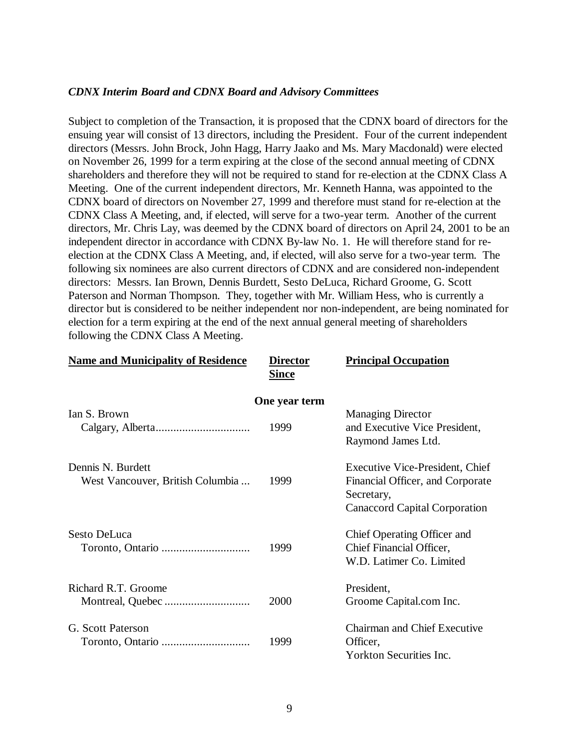#### *CDNX Interim Board and CDNX Board and Advisory Committees*

Subject to completion of the Transaction, it is proposed that the CDNX board of directors for the ensuing year will consist of 13 directors, including the President. Four of the current independent directors (Messrs. John Brock, John Hagg, Harry Jaako and Ms. Mary Macdonald) were elected on November 26, 1999 for a term expiring at the close of the second annual meeting of CDNX shareholders and therefore they will not be required to stand for re-election at the CDNX Class A Meeting. One of the current independent directors, Mr. Kenneth Hanna, was appointed to the CDNX board of directors on November 27, 1999 and therefore must stand for re-election at the CDNX Class A Meeting, and, if elected, will serve for a two-year term. Another of the current directors, Mr. Chris Lay, was deemed by the CDNX board of directors on April 24, 2001 to be an independent director in accordance with CDNX By-law No. 1. He will therefore stand for reelection at the CDNX Class A Meeting, and, if elected, will also serve for a two-year term. The following six nominees are also current directors of CDNX and are considered non-independent directors: Messrs. Ian Brown, Dennis Burdett, Sesto DeLuca, Richard Groome, G. Scott Paterson and Norman Thompson. They, together with Mr. William Hess, who is currently a director but is considered to be neither independent nor non-independent, are being nominated for election for a term expiring at the end of the next annual general meeting of shareholders following the CDNX Class A Meeting.

| <b>Name and Municipality of Residence</b>             | <b>Director</b><br><b>Since</b> | <b>Principal Occupation</b>                                                                                               |
|-------------------------------------------------------|---------------------------------|---------------------------------------------------------------------------------------------------------------------------|
|                                                       | One year term                   |                                                                                                                           |
| Ian S. Brown                                          | 1999                            | <b>Managing Director</b><br>and Executive Vice President,<br>Raymond James Ltd.                                           |
| Dennis N. Burdett<br>West Vancouver, British Columbia | 1999                            | <b>Executive Vice-President, Chief</b><br>Financial Officer, and Corporate<br>Secretary,<br>Canaccord Capital Corporation |
| Sesto DeLuca                                          | 1999                            | Chief Operating Officer and<br>Chief Financial Officer,<br>W.D. Latimer Co. Limited                                       |
| Richard R.T. Groome                                   | 2000                            | President,<br>Groome Capital.com Inc.                                                                                     |
| G. Scott Paterson                                     | 1999                            | <b>Chairman and Chief Executive</b><br>Officer,<br><b>Yorkton Securities Inc.</b>                                         |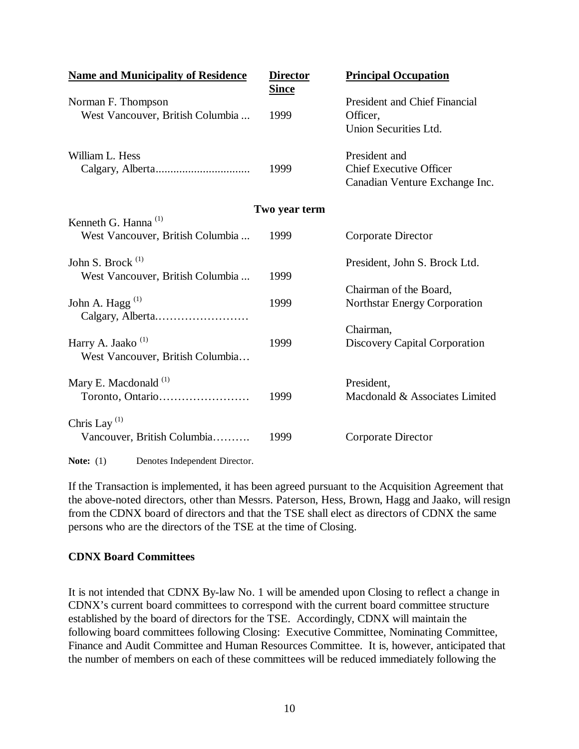| <b>Name and Municipality of Residence</b>                           | <b>Director</b><br><b>Since</b> | <b>Principal Occupation</b>                                                       |
|---------------------------------------------------------------------|---------------------------------|-----------------------------------------------------------------------------------|
| Norman F. Thompson<br>West Vancouver, British Columbia              | 1999                            | <b>President and Chief Financial</b><br>Officer,<br>Union Securities Ltd.         |
| William L. Hess                                                     | 1999                            | President and<br><b>Chief Executive Officer</b><br>Canadian Venture Exchange Inc. |
|                                                                     | Two year term                   |                                                                                   |
| Kenneth G. Hanna <sup>(1)</sup><br>West Vancouver, British Columbia | 1999                            | Corporate Director                                                                |
| John S. Brock <sup>(1)</sup>                                        |                                 | President, John S. Brock Ltd.                                                     |
| West Vancouver, British Columbia<br>John A. Hagg $^{(1)}$           | 1999<br>1999                    | Chairman of the Board,<br><b>Northstar Energy Corporation</b>                     |
| Harry A. Jaako <sup>(1)</sup><br>West Vancouver, British Columbia   | 1999                            | Chairman,<br>Discovery Capital Corporation                                        |
| Mary E. Macdonald <sup>(1)</sup><br>Toronto, Ontario                | 1999                            | President,<br>Macdonald & Associates Limited                                      |
| Chris Lay <sup>(1)</sup><br>Vancouver, British Columbia             | 1999                            | Corporate Director                                                                |
| Denotes Independent Director.<br>Note: $(1)$                        |                                 |                                                                                   |

If the Transaction is implemented, it has been agreed pursuant to the Acquisition Agreement that the above-noted directors, other than Messrs. Paterson, Hess, Brown, Hagg and Jaako, will resign from the CDNX board of directors and that the TSE shall elect as directors of CDNX the same persons who are the directors of the TSE at the time of Closing.

### **CDNX Board Committees**

It is not intended that CDNX By-law No. 1 will be amended upon Closing to reflect a change in CDNX's current board committees to correspond with the current board committee structure established by the board of directors for the TSE. Accordingly, CDNX will maintain the following board committees following Closing: Executive Committee, Nominating Committee, Finance and Audit Committee and Human Resources Committee. It is, however, anticipated that the number of members on each of these committees will be reduced immediately following the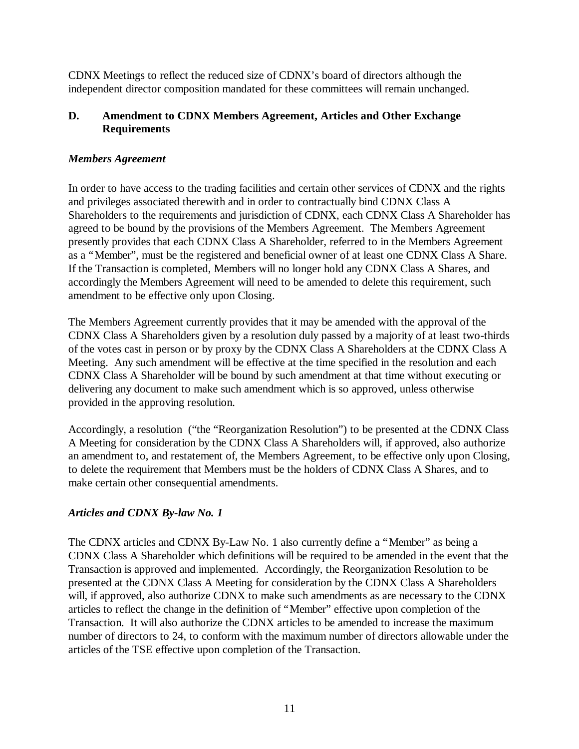CDNX Meetings to reflect the reduced size of CDNX's board of directors although the independent director composition mandated for these committees will remain unchanged.

## **D. Amendment to CDNX Members Agreement, Articles and Other Exchange Requirements**

### *Members Agreement*

In order to have access to the trading facilities and certain other services of CDNX and the rights and privileges associated therewith and in order to contractually bind CDNX Class A Shareholders to the requirements and jurisdiction of CDNX, each CDNX Class A Shareholder has agreed to be bound by the provisions of the Members Agreement. The Members Agreement presently provides that each CDNX Class A Shareholder, referred to in the Members Agreement as a "Member", must be the registered and beneficial owner of at least one CDNX Class A Share. If the Transaction is completed, Members will no longer hold any CDNX Class A Shares, and accordingly the Members Agreement will need to be amended to delete this requirement, such amendment to be effective only upon Closing.

The Members Agreement currently provides that it may be amended with the approval of the CDNX Class A Shareholders given by a resolution duly passed by a majority of at least two-thirds of the votes cast in person or by proxy by the CDNX Class A Shareholders at the CDNX Class A Meeting. Any such amendment will be effective at the time specified in the resolution and each CDNX Class A Shareholder will be bound by such amendment at that time without executing or delivering any document to make such amendment which is so approved, unless otherwise provided in the approving resolution.

Accordingly, a resolution ("the "Reorganization Resolution") to be presented at the CDNX Class A Meeting for consideration by the CDNX Class A Shareholders will, if approved, also authorize an amendment to, and restatement of, the Members Agreement, to be effective only upon Closing, to delete the requirement that Members must be the holders of CDNX Class A Shares, and to make certain other consequential amendments.

## *Articles and CDNX By-law No. 1*

The CDNX articles and CDNX By-Law No. 1 also currently define a "Member" as being a CDNX Class A Shareholder which definitions will be required to be amended in the event that the Transaction is approved and implemented. Accordingly, the Reorganization Resolution to be presented at the CDNX Class A Meeting for consideration by the CDNX Class A Shareholders will, if approved, also authorize CDNX to make such amendments as are necessary to the CDNX articles to reflect the change in the definition of "Member" effective upon completion of the Transaction. It will also authorize the CDNX articles to be amended to increase the maximum number of directors to 24, to conform with the maximum number of directors allowable under the articles of the TSE effective upon completion of the Transaction.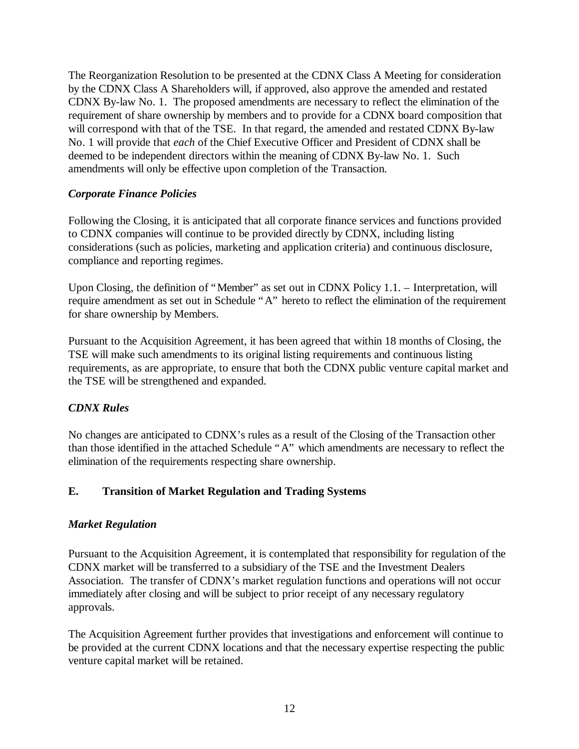The Reorganization Resolution to be presented at the CDNX Class A Meeting for consideration by the CDNX Class A Shareholders will, if approved, also approve the amended and restated CDNX By-law No. 1. The proposed amendments are necessary to reflect the elimination of the requirement of share ownership by members and to provide for a CDNX board composition that will correspond with that of the TSE. In that regard, the amended and restated CDNX By-law No. 1 will provide that *each* of the Chief Executive Officer and President of CDNX shall be deemed to be independent directors within the meaning of CDNX By-law No. 1. Such amendments will only be effective upon completion of the Transaction.

### *Corporate Finance Policies*

Following the Closing, it is anticipated that all corporate finance services and functions provided to CDNX companies will continue to be provided directly by CDNX, including listing considerations (such as policies, marketing and application criteria) and continuous disclosure, compliance and reporting regimes.

Upon Closing, the definition of "Member" as set out in CDNX Policy 1.1. – Interpretation, will require amendment as set out in Schedule "A" hereto to reflect the elimination of the requirement for share ownership by Members.

Pursuant to the Acquisition Agreement, it has been agreed that within 18 months of Closing, the TSE will make such amendments to its original listing requirements and continuous listing requirements, as are appropriate, to ensure that both the CDNX public venture capital market and the TSE will be strengthened and expanded.

## *CDNX Rules*

No changes are anticipated to CDNX's rules as a result of the Closing of the Transaction other than those identified in the attached Schedule "A" which amendments are necessary to reflect the elimination of the requirements respecting share ownership.

## **E. Transition of Market Regulation and Trading Systems**

### *Market Regulation*

Pursuant to the Acquisition Agreement, it is contemplated that responsibility for regulation of the CDNX market will be transferred to a subsidiary of the TSE and the Investment Dealers Association. The transfer of CDNX's market regulation functions and operations will not occur immediately after closing and will be subject to prior receipt of any necessary regulatory approvals.

The Acquisition Agreement further provides that investigations and enforcement will continue to be provided at the current CDNX locations and that the necessary expertise respecting the public venture capital market will be retained.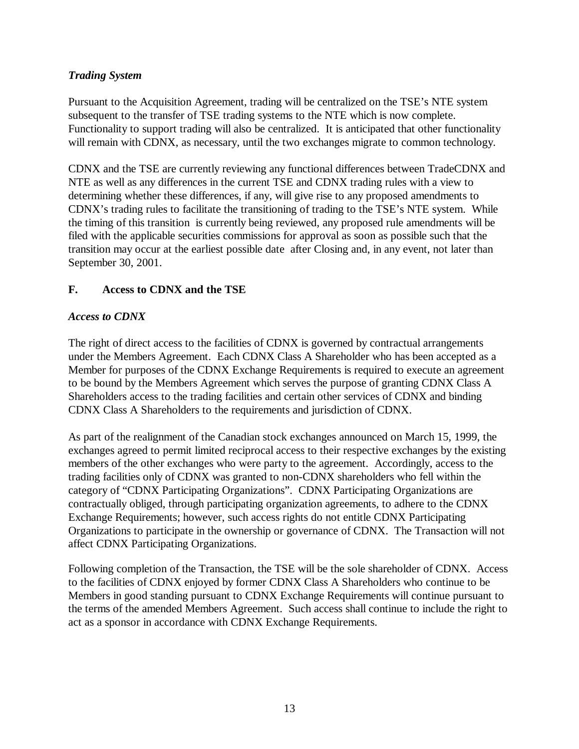# *Trading System*

Pursuant to the Acquisition Agreement, trading will be centralized on the TSE's NTE system subsequent to the transfer of TSE trading systems to the NTE which is now complete. Functionality to support trading will also be centralized. It is anticipated that other functionality will remain with CDNX, as necessary, until the two exchanges migrate to common technology.

CDNX and the TSE are currently reviewing any functional differences between TradeCDNX and NTE as well as any differences in the current TSE and CDNX trading rules with a view to determining whether these differences, if any, will give rise to any proposed amendments to CDNX's trading rules to facilitate the transitioning of trading to the TSE's NTE system. While the timing of this transition is currently being reviewed, any proposed rule amendments will be filed with the applicable securities commissions for approval as soon as possible such that the transition may occur at the earliest possible date after Closing and, in any event, not later than September 30, 2001.

## **F. Access to CDNX and the TSE**

## *Access to CDNX*

The right of direct access to the facilities of CDNX is governed by contractual arrangements under the Members Agreement. Each CDNX Class A Shareholder who has been accepted as a Member for purposes of the CDNX Exchange Requirements is required to execute an agreement to be bound by the Members Agreement which serves the purpose of granting CDNX Class A Shareholders access to the trading facilities and certain other services of CDNX and binding CDNX Class A Shareholders to the requirements and jurisdiction of CDNX.

As part of the realignment of the Canadian stock exchanges announced on March 15, 1999, the exchanges agreed to permit limited reciprocal access to their respective exchanges by the existing members of the other exchanges who were party to the agreement. Accordingly, access to the trading facilities only of CDNX was granted to non-CDNX shareholders who fell within the category of "CDNX Participating Organizations". CDNX Participating Organizations are contractually obliged, through participating organization agreements, to adhere to the CDNX Exchange Requirements; however, such access rights do not entitle CDNX Participating Organizations to participate in the ownership or governance of CDNX. The Transaction will not affect CDNX Participating Organizations.

Following completion of the Transaction, the TSE will be the sole shareholder of CDNX. Access to the facilities of CDNX enjoyed by former CDNX Class A Shareholders who continue to be Members in good standing pursuant to CDNX Exchange Requirements will continue pursuant to the terms of the amended Members Agreement. Such access shall continue to include the right to act as a sponsor in accordance with CDNX Exchange Requirements.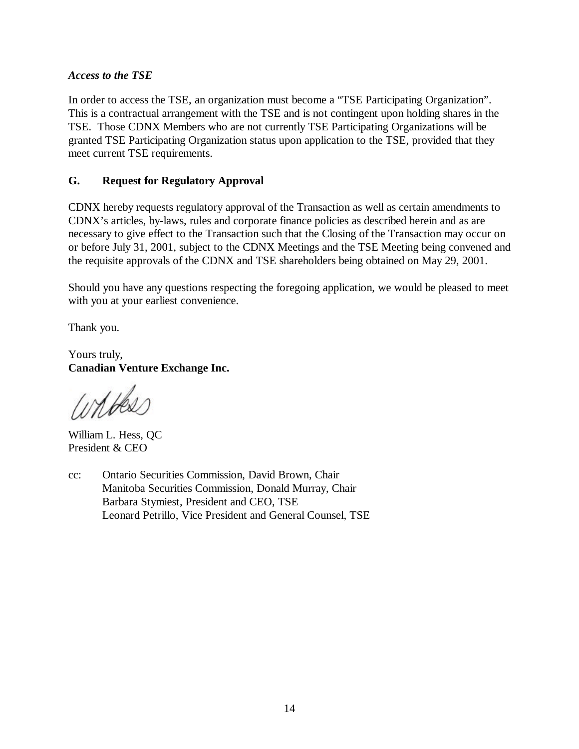### *Access to the TSE*

In order to access the TSE, an organization must become a "TSE Participating Organization". This is a contractual arrangement with the TSE and is not contingent upon holding shares in the TSE. Those CDNX Members who are not currently TSE Participating Organizations will be granted TSE Participating Organization status upon application to the TSE, provided that they meet current TSE requirements.

### **G. Request for Regulatory Approval**

CDNX hereby requests regulatory approval of the Transaction as well as certain amendments to CDNX's articles, by-laws, rules and corporate finance policies as described herein and as are necessary to give effect to the Transaction such that the Closing of the Transaction may occur on or before July 31, 2001, subject to the CDNX Meetings and the TSE Meeting being convened and the requisite approvals of the CDNX and TSE shareholders being obtained on May 29, 2001.

Should you have any questions respecting the foregoing application, we would be pleased to meet with you at your earliest convenience.

Thank you.

Yours truly, **Canadian Venture Exchange Inc.**

Wilbers

William L. Hess, QC President & CEO

cc: Ontario Securities Commission, David Brown, Chair Manitoba Securities Commission, Donald Murray, Chair Barbara Stymiest, President and CEO, TSE Leonard Petrillo, Vice President and General Counsel, TSE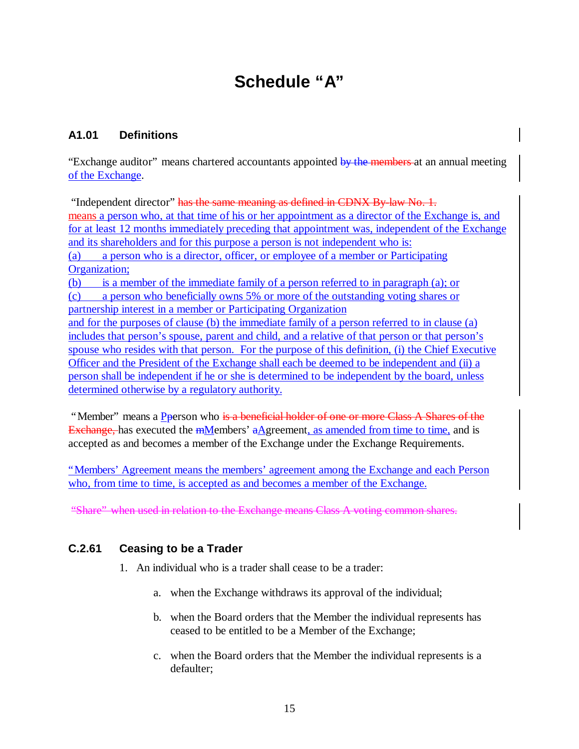# **Schedule "A"**

# **A1.01 Definitions**

"Exchange auditor" means chartered accountants appointed by the members at an annual meeting of the Exchange.

"Independent director" has the same meaning as defined in CDNX By law No. 1. means a person who, at that time of his or her appointment as a director of the Exchange is, and for at least 12 months immediately preceding that appointment was, independent of the Exchange and its shareholders and for this purpose a person is not independent who is: (a) a person who is a director, officer, or employee of a member or Participating Organization; (b) is a member of the immediate family of a person referred to in paragraph (a); or (c) a person who beneficially owns 5% or more of the outstanding voting shares or partnership interest in a member or Participating Organization and for the purposes of clause (b) the immediate family of a person referred to in clause (a) includes that person's spouse, parent and child, and a relative of that person or that person's spouse who resides with that person. For the purpose of this definition, (i) the Chief Executive Officer and the President of the Exchange shall each be deemed to be independent and (ii) a person shall be independent if he or she is determined to be independent by the board, unless determined otherwise by a regulatory authority.

"Member" means a Pperson who is a beneficial holder of one or more Class A Shares of the Exchange, has executed the  $m$ Members' aAgreement, as amended from time to time, and is accepted as and becomes a member of the Exchange under the Exchange Requirements.

"Members' Agreement means the members' agreement among the Exchange and each Person who, from time to time, is accepted as and becomes a member of the Exchange.

"Share" when used in relation to the Exchange means Class A voting common shares.

## **C.2.61 Ceasing to be a Trader**

- 1. An individual who is a trader shall cease to be a trader:
	- a. when the Exchange withdraws its approval of the individual;
	- b. when the Board orders that the Member the individual represents has ceased to be entitled to be a Member of the Exchange;
	- c. when the Board orders that the Member the individual represents is a defaulter;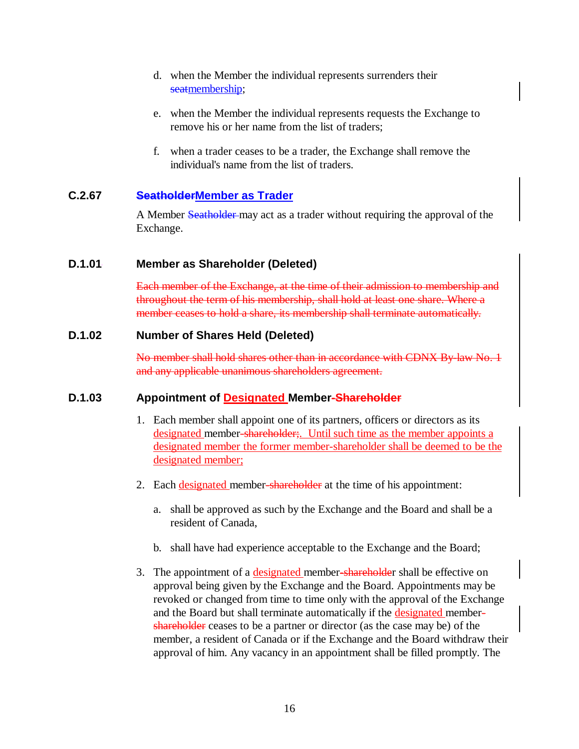- d. when the Member the individual represents surrenders their seatmembership;
- e. when the Member the individual represents requests the Exchange to remove his or her name from the list of traders;
- f. when a trader ceases to be a trader, the Exchange shall remove the individual's name from the list of traders.

## **C.2.67 SeatholderMember as Trader**

A Member Seatholder may act as a trader without requiring the approval of the Exchange.

### **D.1.01 Member as Shareholder (Deleted)**

Each member of the Exchange, at the time of their admission to membership and throughout the term of his membership, shall hold at least one share. Where a member ceases to hold a share, its membership shall terminate automatically.

### **D.1.02 Number of Shares Held (Deleted)**

No member shall hold shares other than in accordance with CDNX By-law No. 1 and any applicable unanimous shareholders agreement.

### **D.1.03 Appointment of Designated Member-Shareholder**

- 1. Each member shall appoint one of its partners, officers or directors as its designated member-shareholder;. Until such time as the member appoints a designated member the former member-shareholder shall be deemed to be the designated member;
- 2. Each designated member-shareholder at the time of his appointment:
	- a. shall be approved as such by the Exchange and the Board and shall be a resident of Canada,
	- b. shall have had experience acceptable to the Exchange and the Board;
- 3. The appointment of a designated member-shareholder shall be effective on approval being given by the Exchange and the Board. Appointments may be revoked or changed from time to time only with the approval of the Exchange and the Board but shall terminate automatically if the **designated** membershareholder ceases to be a partner or director (as the case may be) of the member, a resident of Canada or if the Exchange and the Board withdraw their approval of him. Any vacancy in an appointment shall be filled promptly. The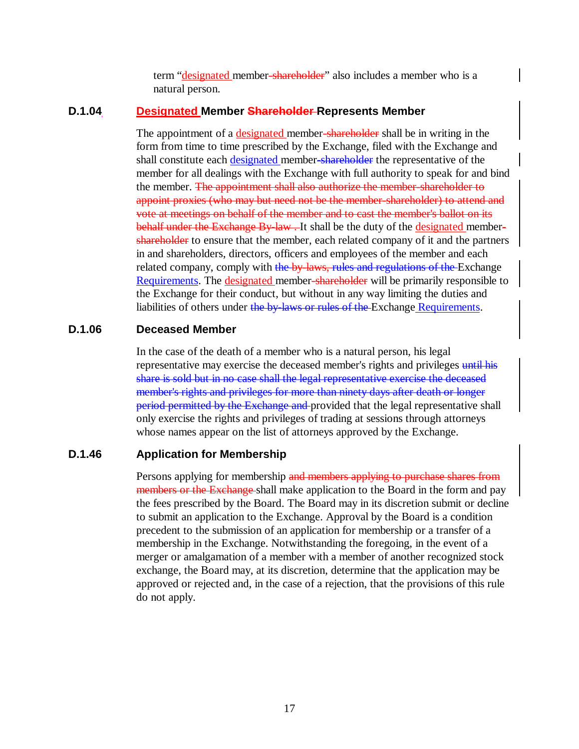term "designated member-shareholder" also includes a member who is a natural person.

### **D.1.04 Designated Member Shareholder Represents Member**

The appointment of a designated member-shareholder shall be in writing in the form from time to time prescribed by the Exchange, filed with the Exchange and shall constitute each designated member-shareholder the representative of the member for all dealings with the Exchange with full authority to speak for and bind the member. The appointment shall also authorize the member-shareholder to appoint proxies (who may but need not be the member-shareholder) to attend and vote at meetings on behalf of the member and to cast the member's ballot on its behalf under the Exchange By-law. It shall be the duty of the designated membershareholder to ensure that the member, each related company of it and the partners in and shareholders, directors, officers and employees of the member and each related company, comply with the by-laws, rules and regulations of the Exchange Requirements. The designated member-shareholder will be primarily responsible to the Exchange for their conduct, but without in any way limiting the duties and liabilities of others under the by-laws or rules of the Exchange Requirements.

### **D.1.06 Deceased Member**

In the case of the death of a member who is a natural person, his legal representative may exercise the deceased member's rights and privileges until his share is sold but in no case shall the legal representative exercise the deceased member's rights and privileges for more than ninety days after death or longer period permitted by the Exchange and provided that the legal representative shall only exercise the rights and privileges of trading at sessions through attorneys whose names appear on the list of attorneys approved by the Exchange.

## **D.1.46 Application for Membership**

Persons applying for membership and members applying to purchase shares from members or the Exchange-shall make application to the Board in the form and pay the fees prescribed by the Board. The Board may in its discretion submit or decline to submit an application to the Exchange. Approval by the Board is a condition precedent to the submission of an application for membership or a transfer of a membership in the Exchange. Notwithstanding the foregoing, in the event of a merger or amalgamation of a member with a member of another recognized stock exchange, the Board may, at its discretion, determine that the application may be approved or rejected and, in the case of a rejection, that the provisions of this rule do not apply.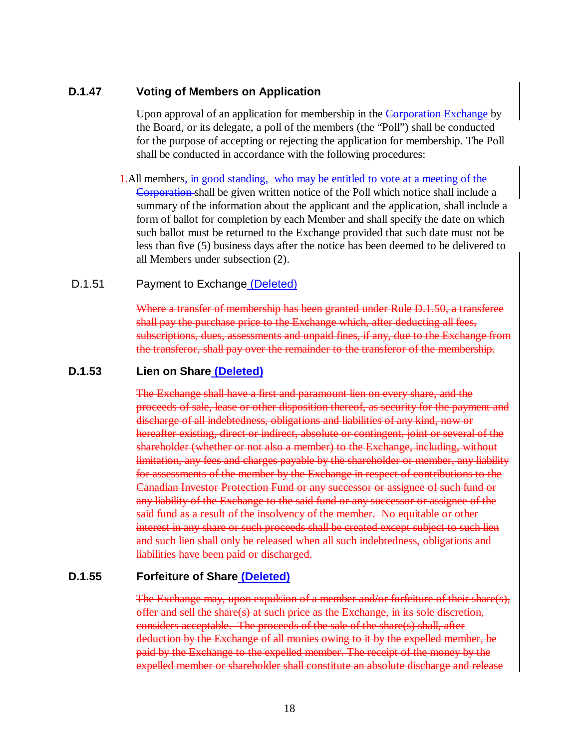### **D.1.47 Voting of Members on Application**

Upon approval of an application for membership in the Corporation-Exchange by the Board, or its delegate, a poll of the members (the "Poll") shall be conducted for the purpose of accepting or rejecting the application for membership. The Poll shall be conducted in accordance with the following procedures:

1.All members, in good standing, who may be entitled to vote at a meeting of the Corporation shall be given written notice of the Poll which notice shall include a summary of the information about the applicant and the application, shall include a form of ballot for completion by each Member and shall specify the date on which such ballot must be returned to the Exchange provided that such date must not be less than five (5) business days after the notice has been deemed to be delivered to all Members under subsection (2).

### D.1.51 Payment to Exchange (Deleted)

Where a transfer of membership has been granted under Rule D.1.50, a transferee shall pay the purchase price to the Exchange which, after deducting all fees, subscriptions, dues, assessments and unpaid fines, if any, due to the Exchange from the transferor, shall pay over the remainder to the transferor of the membership.

### **D.1.53 Lien on Share (Deleted)**

The Exchange shall have a first and paramount lien on every share, and the proceeds of sale, lease or other disposition thereof, as security for the payment and discharge of all indebtedness, obligations and liabilities of any kind, now or hereafter existing, direct or indirect, absolute or contingent, joint or several of the shareholder (whether or not also a member) to the Exchange, including, without limitation, any fees and charges payable by the shareholder or member, any liability for assessments of the member by the Exchange in respect of contributions to the Canadian Investor Protection Fund or any successor or assignee of such fund or any liability of the Exchange to the said fund or any successor or assignee of the said fund as a result of the insolvency of the member. No equitable or other interest in any share or such proceeds shall be created except subject to such lien and such lien shall only be released when all such indebtedness, obligations and liabilities have been paid or discharged.

### **D.1.55 Forfeiture of Share (Deleted)**

The Exchange may, upon expulsion of a member and/or forfeiture of their share(s), offer and sell the share(s) at such price as the Exchange, in its sole discretion, considers acceptable. The proceeds of the sale of the share(s) shall, after deduction by the Exchange of all monies owing to it by the expelled member, be paid by the Exchange to the expelled member. The receipt of the money by the expelled member or shareholder shall constitute an absolute discharge and release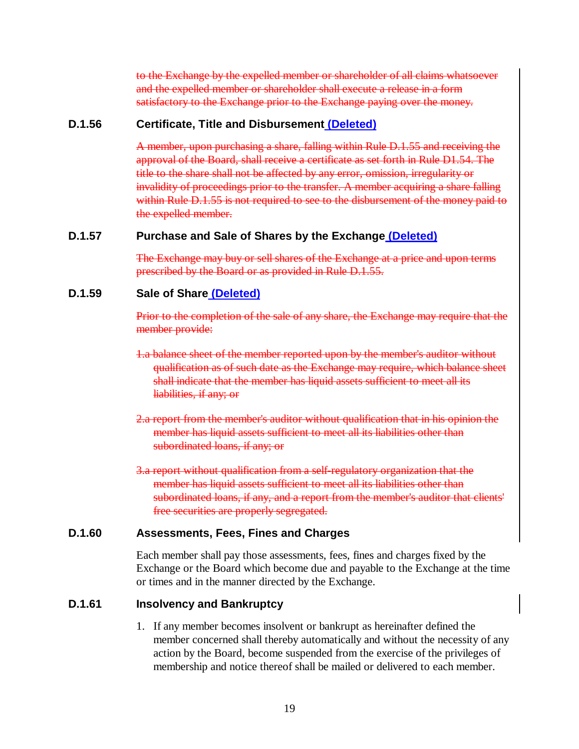to the Exchange by the expelled member or shareholder of all claims whatsoever and the expelled member or shareholder shall execute a release in a form satisfactory to the Exchange prior to the Exchange paying over the money.

### **D.1.56 Certificate, Title and Disbursement (Deleted)**

A member, upon purchasing a share, falling within Rule D.1.55 and receiving the approval of the Board, shall receive a certificate as set forth in Rule D1.54. The title to the share shall not be affected by any error, omission, irregularity or invalidity of proceedings prior to the transfer. A member acquiring a share falling within Rule D.1.55 is not required to see to the disbursement of the money paid to the expelled member.

## **D.1.57 Purchase and Sale of Shares by the Exchange (Deleted)**

The Exchange may buy or sell shares of the Exchange at a price and upon terms prescribed by the Board or as provided in Rule D.1.55.

### **D.1.59 Sale of Share (Deleted)**

Prior to the completion of the sale of any share, the Exchange may require that the member provide:

- 1.a balance sheet of the member reported upon by the member's auditor without qualification as of such date as the Exchange may require, which balance sheet shall indicate that the member has liquid assets sufficient to meet all its liabilities, if any; or
- 2.a report from the member's auditor without qualification that in his opinion the member has liquid assets sufficient to meet all its liabilities other than subordinated loans, if any; or
- 3.a report without qualification from a self-regulatory organization that the member has liquid assets sufficient to meet all its liabilities other than subordinated loans, if any, and a report from the member's auditor that clients' free securities are properly segregated.

### **D.1.60 Assessments, Fees, Fines and Charges**

Each member shall pay those assessments, fees, fines and charges fixed by the Exchange or the Board which become due and payable to the Exchange at the time or times and in the manner directed by the Exchange.

# **D.1.61 Insolvency and Bankruptcy**

1. If any member becomes insolvent or bankrupt as hereinafter defined the member concerned shall thereby automatically and without the necessity of any action by the Board, become suspended from the exercise of the privileges of membership and notice thereof shall be mailed or delivered to each member.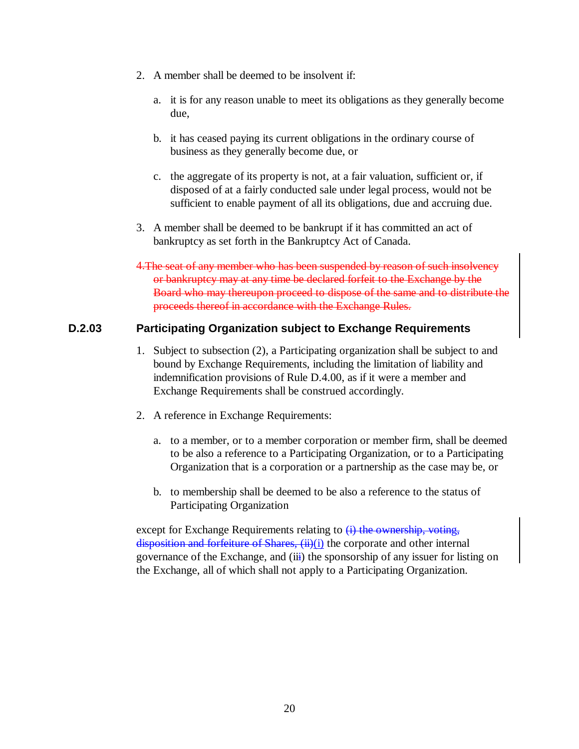- 2. A member shall be deemed to be insolvent if:
	- a. it is for any reason unable to meet its obligations as they generally become due,
	- b. it has ceased paying its current obligations in the ordinary course of business as they generally become due, or
	- c. the aggregate of its property is not, at a fair valuation, sufficient or, if disposed of at a fairly conducted sale under legal process, would not be sufficient to enable payment of all its obligations, due and accruing due.
- 3. A member shall be deemed to be bankrupt if it has committed an act of bankruptcy as set forth in the Bankruptcy Act of Canada.
- 4. The seat of any member who has been suspended by reason of such insolvency or bankruptcy may at any time be declared forfeit to the Exchange by the Board who may thereupon proceed to dispose of the same and to distribute the proceeds thereof in accordance with the Exchange Rules.

## **D.2.03 Participating Organization subject to Exchange Requirements**

- 1. Subject to subsection (2), a Participating organization shall be subject to and bound by Exchange Requirements, including the limitation of liability and indemnification provisions of Rule D.4.00, as if it were a member and Exchange Requirements shall be construed accordingly.
- 2. A reference in Exchange Requirements:
	- a. to a member, or to a member corporation or member firm, shall be deemed to be also a reference to a Participating Organization, or to a Participating Organization that is a corporation or a partnership as the case may be, or
	- b. to membership shall be deemed to be also a reference to the status of Participating Organization

except for Exchange Requirements relating to  $(i)$  the ownership, voting, disposition and forfeiture of Shares, (ii)(i) the corporate and other internal governance of the Exchange, and (iii) the sponsorship of any issuer for listing on the Exchange, all of which shall not apply to a Participating Organization.